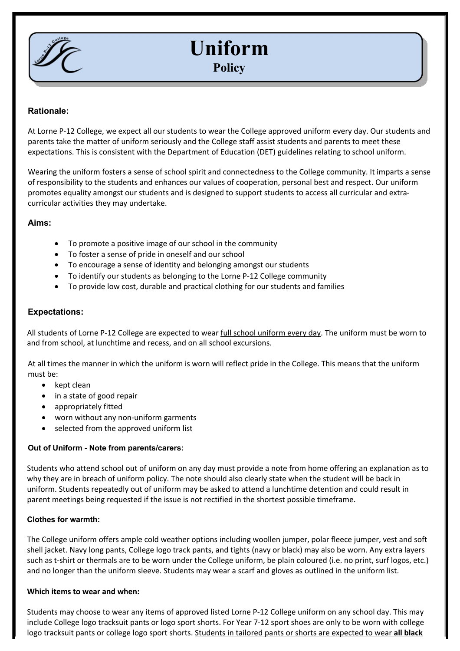

# **Uniform Policy**

# **Rationale:**

At Lorne P-12 College, we expect all our students to wear the College approved uniform every day. Our students and parents take the matter of uniform seriously and the College staff assist students and parents to meet these expectations. This is consistent with the Department of Education (DET) guidelines relating to school uniform.

Wearing the uniform fosters a sense of school spirit and connectedness to the College community. It imparts a sense of responsibility to the students and enhances our values of cooperation, personal best and respect. Our uniform promotes equality amongst our students and is designed to support students to access all curricular and extracurricular activities they may undertake.

#### **Aims:**

- To promote a positive image of our school in the community
- To foster a sense of pride in oneself and our school
- To encourage a sense of identity and belonging amongst our students
- To identify our students as belonging to the Lorne P-12 College community
- To provide low cost, durable and practical clothing for our students and families

## **Expectations:**

All students of Lorne P-12 College are expected to wear full school uniform every day. The uniform must be worn to and from school, at lunchtime and recess, and on all school excursions.

At all times the manner in which the uniform is worn will reflect pride in the College. This means that the uniform must be:

- kept clean
- in a state of good repair
- appropriately fitted
- worn without any non-uniform garments
- selected from the approved uniform list

#### **Out of Uniform - Note from parents/carers:**

Students who attend school out of uniform on any day must provide a note from home offering an explanation as to why they are in breach of uniform policy. The note should also clearly state when the student will be back in uniform. Students repeatedly out of uniform may be asked to attend a lunchtime detention and could result in parent meetings being requested if the issue is not rectified in the shortest possible timeframe.

#### **Clothes for warmth:**

The College uniform offers ample cold weather options including woollen jumper, polar fleece jumper, vest and soft shell jacket. Navy long pants, College logo track pants, and tights (navy or black) may also be worn. Any extra layers such as t-shirt or thermals are to be worn under the College uniform, be plain coloured (i.e. no print, surf logos, etc.) and no longer than the uniform sleeve. Students may wear a scarf and gloves as outlined in the uniform list.

### **Which items to wear and when:**

Students may choose to wear any items of approved listed Lorne P-12 College uniform on any school day. This may include College logo tracksuit pants or logo sport shorts. For Year 7-12 sport shoes are only to be worn with college logo tracksuit pants or college logo sport shorts. Students in tailored pants or shorts are expected to wear **all black**